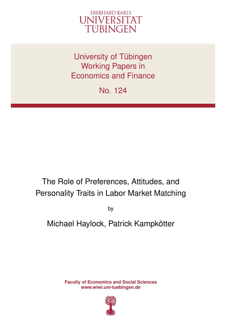

University of Tübingen Working Papers in Economics and Finance

No. 124

# The Role of Preferences, Attitudes, and Personality Traits in Labor Market Matching

by

Michael Haylock, Patrick Kampkötter

**Faculty of Economics and Social Sciences www.wiwi.uni-tuebingen.de**

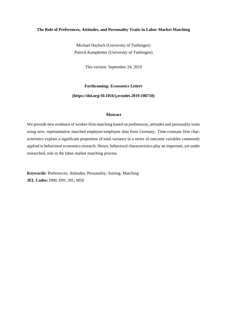# **The Role of Preferences, Attitudes, and Personality Traits in Labor Market Matching**

Michael Haylock (University of Tuebingen) Patrick Kampkötter (University of Tuebingen)

This version: September 24, 2019

**Forthcoming:** *Economics Letters* **(https://doi.org/10.1016/j.econlet.2019.108718)**

# **Abstract**

We provide new evidence of worker-firm matching based on preferences, attitudes and personality traits using new, representative matched employer-employee data from Germany. Time-constant firm characteristics explain a significant proportion of total variance in a series of outcome variables commonly applied in behavioral economics research. Hence, behavioral characteristics play an important, yet under researched, role in the labor market matching process.

**Keywords:** Preferences; Attitudes; Personality; Sorting; Matching **JEL Codes:** D90; D91; J01; M50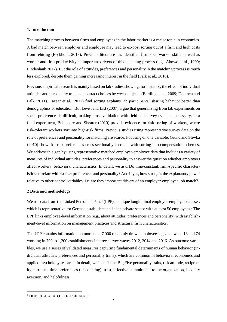# **1. Introduction**

The matching process between firms and employees in the labor market is a major topic in economics. A bad match between employer and employee may lead to ex-post sorting out of a firm and high costs from rehiring (Eeckhout, 2018). Previous literature has identified firm size, worker skills as well as worker and firm productivity as important drivers of this matching process (e.g., Abowd et al., 1999; Lindenlaub 2017). But the role of attitudes, preferences and personality in the matching process is much less explored, despite them gaining increasing interest in the field (Falk et al., 2018).

Previous empirical research is mainly based on lab studies showing, for instance, the effect of individual attitudes and personality traits on contract choices between subjects (Bartling et al., 2009; Dohmen and Falk, 2011). Lazear et al. (2012) find sorting explains lab participants' sharing behavior better than demographics or education. But Levitt and List (2007) argue that generalizing from lab experiments on social preferences is difficult, making cross-validation with field and survey evidence necessary. In a field experiment, Bellemare and Shearer (2010) provide evidence for risk-sorting of workers, where risk-tolerant workers sort into high-risk firms. Previous studies using representative survey data on the role of preferences and personality for matching are scarce. Focusing on one variable, Grund and Sliwka (2010) show that risk preferences cross-sectionally correlate with sorting into compensation schemes. We address this gap by using representative matched employer-employee data that includes a variety of measures of individual attitudes, preferences and personality to answer the question whether employers affect workers' behavioral characteristics. In detail, we ask: Do time-constant, firm-specific characteristics correlate with worker preferences and personality? And if yes, how strong is the explanatory power relative to other control variables, i.e. are they important drivers of an employer-employee job match?

## **2 Data and methodology**

We use data from the Linked Personnel Panel (LPP), a unique longitudinal employer-employee data set, which is representative for German establishments in the private sector with at least 50 employees.<sup>1</sup> The LPP links employee-level information (e.g., about attitudes, preferences and personality) with establishment-level information on management practices and structural firm characteristics.

The LPP contains information on more than 7,000 randomly drawn employees aged between 18 and 74 working in 700 to 1,200 establishments in three survey waves 2012, 2014 and 2016. As outcome variables, we use a series of validated measures capturing fundamental determinants of human behavior (individual attitudes, preferences and personality traits), which are common in behavioral economics and applied psychology research. In detail, we include the Big Five personality traits, risk attitude, reciprocity, altruism, time preferences (discounting), trust, affective commitment to the organization, inequity aversion, and helpfulness.

**.** 

<sup>1</sup> DOI: 10.5164/IAB.LPP1617.de.en.v1.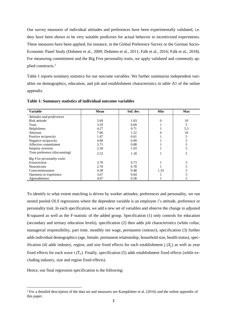Our survey measures of individual attitudes and preferences have been experimentally validated, i.e. they have been shown to be very suitable predictors for actual behavior in incentivized experiments. These measures have been applied, for instance, in the Global Preference Survey or the German Socio-Economic Panel Study (Dohmen et al., 2009; Dohmen et al., 2011; Falk et al., 2016; Falk et al., 2018). For measuring commitment and the Big Five personality traits, we apply validated and commonly applied constructs.<sup>2</sup>

Table 1 reports summary statistics for our outcome variables. We further summarize independent variables on demographics, education, and job and establishment characteristics in table A1 of the online appendix.

| <b>Variable</b>               | Mean | Std. dev. | Min  | <b>Max</b> |  |
|-------------------------------|------|-----------|------|------------|--|
| Attitudes and preferences     |      |           |      |            |  |
| Risk attitude                 | 5.69 | 1.83      | 0    | 10         |  |
| Trust                         | 3.29 | 0.69      |      | 5          |  |
| Helpfulness                   | 4.27 | 0.71      |      | 5.5        |  |
| Altruism                      | 7.66 | 1.52      |      | 10         |  |
| Positive reciprocity          | 1.47 | 0.61      |      |            |  |
| Negative reciprocity          | 4.09 | 0.99      |      |            |  |
| Affective commitment          | 3.71 | 0.88      |      |            |  |
| Inequity aversion             | 2.50 | 1.03      |      |            |  |
| Time preference (discounting) | 2.52 | 1.18      |      |            |  |
| Big Five personality traits   |      |           |      |            |  |
| Extraversion                  | 3.70 | 0.73      |      |            |  |
| Neuroticism                   | 2.70 | 0.78      |      |            |  |
| Conscientiousness             | 4.38 | 0.48      | 1.33 |            |  |
| Openness to experience        | 3.67 | 0.64      |      |            |  |
| Agreeableness                 | 4.07 | 0.58      |      |            |  |

**Table 1: Summary statistics of individual outcome variables**

To identify to what extent matching is driven by worker attitudes, preferences and personality, we run nested pooled OLS regressions where the dependent variable is an employee *i*'s attitude, preference or personality trait. In each specification, we add a new set of variables and observe the change in adjusted R-squared as well as the F-statistic of the added group. Specification (1) only controls for education (secondary and tertiary education levels), specification (2) then adds job characteristics (white collar, managerial responsibility, part time, monthly net wage, permanent contract), specification (3) further adds individual demographics (age, female, permanent relationship, household size, health status), specification (4) adds industry, region, and size fixed effects for each establishment  $j(X_j)$  as well as year fixed effects for each wave  $t(T_t)$ . Finally, specification (5) adds establishment fixed effects (while excluding industry, size and region fixed effects).

Hence, our final regression specification is the following:

1

<sup>&</sup>lt;sup>2</sup> For a detailed description of the data set and measures see Kampkötter et al. (2016) and the online appendix of this paper.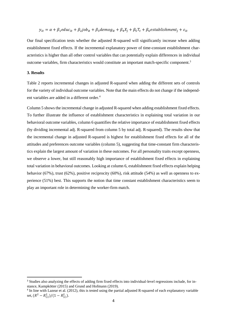# $y_{it} = \alpha + \beta_1$ educ<sub>it</sub> +  $\beta_2$ job<sub>it</sub> +  $\beta_3$ demog<sub>it</sub> +  $\beta_4 X_i + \beta_5 T_t + \beta_6$ establishment<sub>i</sub> +  $\varepsilon_{it}$

Our final specification tests whether the adjusted R-squared will significantly increase when adding establishment fixed effects. If the incremental explanatory power of time-constant establishment characteristics is higher than all other control variables that can potentially explain differences in individual outcome variables, firm characteristics would constitute an important match-specific component.<sup>3</sup>

## **3. Results**

**.** 

Table 2 reports incremental changes in adjusted R-squared when adding the different sets of controls for the variety of individual outcome variables. Note that the main effects do not change if the independent variables are added in a different order.<sup>4</sup>

Column 5 shows the incremental change in adjusted R-squared when adding establishment fixed effects. To further illustrate the influence of establishment characteristics in explaining total variation in our behavioral outcome variables, column 6 quantifies the relative importance of establishment fixed effects (by dividing incremental adj. R-squared from column 5 by total adj. R-squared). The results show that the incremental change in adjusted R-squared is highest for establishment fixed effects for all of the attitudes and preferences outcome variables (column 5), suggesting that time-constant firm characteristics explain the largest amount of variation in these outcomes. For all personality traits except openness, we observe a lower, but still reasonably high importance of establishment fixed effects in explaining total variation in behavioral outcomes. Looking at column 6, establishment fixed effects explain helping behavior (67%), trust (62%), positive reciprocity (60%), risk attitude (54%) as well as openness to experience (51%) best. This supports the notion that time constant establishment characteristics seem to play an important role in determining the worker-firm match.

<sup>&</sup>lt;sup>3</sup> Studies also analyzing the effects of adding firm fixed effects into individual-level regressions include, for instance, Kampkötter (2015) and Grund and Hofmann (2019).

<sup>4</sup> In line with Lazear et al. (2012), this is tested using the partial adjusted R-squared of each explanatory variable set,  $(R^2 - R_{(i)}^2)/(1 - R_{(i)}^2)$ .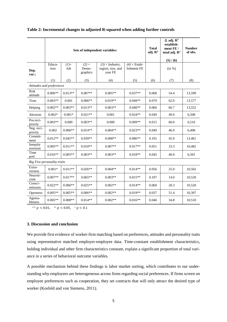|                             | Sets of independent variables: |                |                              |                                                   | <b>Total</b><br>adj. $\mathbb{R}^2$ | $\Delta$ adj. $\mathbb{R}^2$<br>establish-<br>ment FE/<br>total adj. $\mathbb{R}^2$<br>(5) / (6) | <b>Number</b><br>of obs. |        |
|-----------------------------|--------------------------------|----------------|------------------------------|---------------------------------------------------|-------------------------------------|--------------------------------------------------------------------------------------------------|--------------------------|--------|
| Dep.<br>var.:               | Educa-<br>tion                 | $(1) +$<br>Job | $(2) +$<br>Demo-<br>graphics | $(3)$ + Industry,<br>region, size, and<br>year FE | $(4)$ + Estab-<br>lishment FE       |                                                                                                  | (in %)                   |        |
|                             | (1)                            | (2)            | (3)                          | (4)                                               | (5)                                 | (6)                                                                                              | (7)                      | (8)    |
| Attitudes and preferences   |                                |                |                              |                                                   |                                     |                                                                                                  |                          |        |
| Risk<br>attitude            | $0.006**$                      | $0.013**$      | $0.007**$                    | $0.005**$                                         | $0.037**$                           | 0.068                                                                                            | 54.4                     | 13,599 |
| Trust                       | $0.003**$                      | 0.001          | $0.006**$                    | $0.019**$                                         | $0.049**$                           | 0.079                                                                                            | 62.0                     | 13,577 |
| Helping                     | $0.002**$                      | $0.003**$      | $0.013**$                    | $0.003**$                                         | $0.040**$                           | 0.060                                                                                            | 66.7                     | 13,552 |
| Altruism                    | $0.002*$                       | $0.001*$       | $0.021**$                    | 0.001                                             | $0.024**$                           | 0.049                                                                                            | 49.0                     | 6,508  |
| Pos.reci-<br>procity        | $0.003**$                      | 0.000          | $0.003**$                    | 0.000                                             | $0.009**$                           | 0.015                                                                                            | 60.0                     | 6,516  |
| Neg. reci-<br>procity       | 0.002                          | $0.006**$      | $0.014**$                    | $0.004**$                                         | $0.023**$                           | 0.049                                                                                            | 46.9                     | 6,498  |
| Commit-<br>ment             | $0.012**$                      | $0.045**$      | $0.039**$                    | $0.008**$                                         | $0.086**$                           | 0.191                                                                                            | 45.0                     | 13,461 |
| Inequity<br>aversion        | $0.005**$                      | $0.011**$      | $0.010**$                    | $0.007**$                                         | $0.017**$                           | 0.051                                                                                            | 33.3                     | 10,482 |
| Time<br>pref.               | $0.016**$                      | $0.005**$      | $0.003**$                    | $0.003**$                                         | $0.018**$                           | 0.045                                                                                            | 40.0                     | 6,501  |
| Big Five personality traits |                                |                |                              |                                                   |                                     |                                                                                                  |                          |        |
| Extra-<br>version           | $0.001*$                       | $0.011**$      | $0.026**$                    | $0.004**$                                         | $0.014**$                           | 0.056                                                                                            | 25.0                     | 10,502 |
| Neuroti-<br>cism            | $0.007**$                      | $0.017**$      | $0.065**$                    | $0.003**$                                         | $0.015**$                           | 0.107                                                                                            | 14.0                     | 10,520 |
| Consci-<br>entiousn.        | $0.022**$                      | $0.006**$      | $0.025**$                    | $0.002**$                                         | $0.014**$                           | 0.069                                                                                            | 20.3                     | 10,520 |
| <b>Openness</b>             | $0.005**$                      | $0.005**$      | $0.006**$                    | $0.002**$                                         | $0.019**$                           | 0.037                                                                                            | 51.4                     | 10,397 |
| Agreea-<br>bleness          | $0.005**$                      | $0.008**$      | $0.014**$                    | $0.002**$                                         | $0.016**$                           | 0.046                                                                                            | 34.8                     | 10,510 |

# **Table 2: Incremental changes in adjusted R-squared when adding further controls**

\*\*\*  $p < 0.01$ , \*\*  $p < 0.05$ , \*  $p < 0.1$ 

# **3. Discussion and conclusion**

We provide first evidence of worker-firm matching based on preferences, attitudes and personality traits using representative matched employer-employee data. Time-constant establishment characteristics, holding individual and other firm characteristics constant, explain a significant proportion of total variance in a series of behavioral outcome variables.

A possible mechanism behind these findings is labor market sorting, which contributes to our understanding why employees are heterogeneous across firms regarding social preferences. If firms screen on employee preferences such as cooperation, they set contracts that will only attract the desired type of worker (Kosfeld and von Siemens, 2011).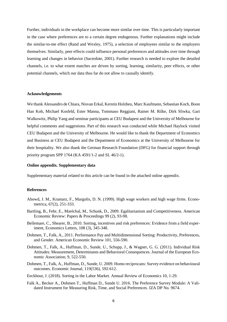Further, individuals in the workplace can become more similar over time. This is particularly important in the case where preferences are to a certain degree endogenous. Further explanations might include the similar-to-me effect (Rand and Wexley, 1975), a selection of employees similar to the employers themselves. Similarly, peer effects could influence personal preferences and attitudes over time through learning and changes in behavior (Sacerdote, 2001). Further research is needed to explore the detailed channels, i.e. to what extent matches are driven by sorting, learning, similarity, peer effects, or other potential channels, which our data thus far do not allow to causally identify.

# **Acknowledgements**

We thank Alessandro de Chiara, Nisvan Erkal, Kerstin Holzheu, Marc Kaufmann, Sebastian Koch, Boon Han Koh, Michael Kosfeld, Ester Manna, Tommaso Reggiani, Rainer M. Rilke, Dirk Sliwka, Gari Walkowitz, Philip Yang and seminar participants at CEU Budapest and the University of Melbourne for helpful comments and suggestions. Part of this research was conducted while Michael Haylock visited CEU Budapest and the University of Melbourne. He would like to thank the Department of Economics and Business at CEU Budapest and the Department of Economics at the University of Melbourne for their hospitality. We also thank the German Research Foundation (DFG) for financial support through priority program SPP 1764 (KA 4591/1-2 and SL 46/2-1).

#### **Online appendix. Supplementary data**

Supplementary material related to this article can be found in the attached online appendix.

#### **References**

- Abowd, J. M., Kramarz, F., Margolis, D. N. (1999). High wage workers and high wage firms. Econometrica, 67(2), 251-333.
- Bartling, B., Fehr, E., Maréchal, M., Schunk, D., 2009. Egalitarianism and Competitiveness. American Economic Review: Papers & Proceedings 99 (2), 93-98.
- Bellemare, C., Shearer, B., 2010. Sorting, incentives and risk preferences: Evidence from a field experiment, Economics Letters, 108 (3), 345-348.
- Dohmen, T., Falk, A., 2011. Performance Pay and Multidimensional Sorting: Productivity, Preferences, and Gender. American Economic Review 101, 556-590.
- Dohmen, T., Falk, A., Huffman, D., Sunde, U., Schupp, J., & Wagner, G. G. (2011). Individual Risk Attitudes: Measurement, Determinants and Behavioral Consequences. Journal of the European Economic Association, 9, 522-550.
- Dohmen, T., Falk, A., Huffman, D., Sunde, U. 2009. Homo reciprocans: Survey evidence on behavioural outcomes. Economic Journal, 119(536), 592-612.
- Eeckhout, J. (2018). Sorting in the Labor Market. Annual Review of Economics 10, 1-29.
- Falk A., Becker A., Dohmen T., Huffman D., Sunde U. 2016. The Preference Survey Module: A Validated Instrument for Measuring Risk, Time, and Social Preferences. IZA DP No. 9674.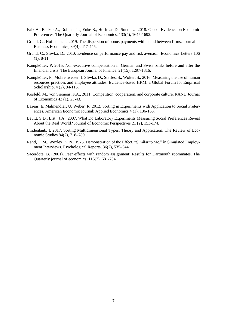- Falk A., Becker A., Dohmen T., Enke B., Huffman D., Sunde U. 2018. Global Evidence on Economic Preferences. The Quarterly Journal of Economics, 133(4), 1645-1692.
- Grund, C., Hofmann, T. 2019. The dispersion of bonus payments within and between firms. Journal of Business Economics, 89(4), 417-445.
- Grund, C., Sliwka, D., 2010. Evidence on performance pay and risk aversion. Economics Letters 106 (1), 8-11.
- Kampkötter, P. 2015. Non-executive compensation in German and Swiss banks before and after the financial crisis. The European Journal of Finance, 21(15), 1297-1316.
- Kampkötter, P., Mohrenweiser, J. Sliwka, D., Steffes, S., Wolter, S., 2016. Measuring the use of human resources practices and employee attitudes. Evidence-based HRM: a Global Forum for Empirical Scholarship, 4 (2), 94-115.
- Kosfeld, M., von Siemens, F.A., 2011. Competition, cooperation, and corporate culture. RAND Journal of Economics 42 (1), 23-43.
- Lazear, E, Malmendier, U, Weber, R. 2012. Sorting in Experiments with Application to Social Preferences. American Economic Journal: Applied Economics 4 (1), 136-163.
- Levitt, S.D., List., J.A., 2007. What Do Laboratory Experiments Measuring Social Preferences Reveal About the Real World? Journal of Economic Perspectives 21 (2), 153-174.
- Lindenlaub, I, 2017. Sorting Multidimensional Types: Theory and Application, The Review of Economic Studies 84(2), 718–789
- Rand, T. M., Wexley, K. N., 1975. Demonstration of the Effect, "Similar to Me," in Simulated Employment Interviews. Psychological Reports, 36(2), 535–544.
- Sacerdote, B. (2001). Peer effects with random assignment: Results for Dartmouth roommates. The Quarterly journal of economics, 116(2), 681-704.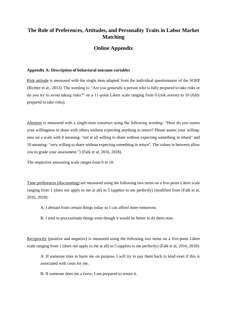# **The Role of Preferences, Attitudes, and Personality Traits in Labor Market Matching**

# **Online Appendix**

## **Appendix A: Description of behavioral outcome variables**

Risk attitude is measured with the single item adapted from the individual questionnaire of the SOEP (Richter et al., 2013). The wording is: "Are you generally a person who is fully prepared to take risks or do you try to avoid taking risks?" on a 11-point Likert scale ranging from 0 (risk averse) to 10 (fully prepared to take risks).

Altruism is measured with a single-item construct using the following wording: "How do you assess your willingness to share with others without expecting anything in return? Please assess your willingness on a scale with 0 meaning: "not at all willing to share without expecting something in return" and 10 meaning: "very willing to share without expecting something in return". The values in between allow you to grade your assessment.") (Falk et al, 2016, 2018).

The respective answering scale ranges from 0 to 10.

Time preferences (discounting) are measured using the following two items on a five-point Likert scale ranging from 1 (does not apply to me at all) to 5 (applies to me perfectly) (modified from (Falk et al, 2016, 2018):

- A: I abstain from certain things today so I can afford more tomorrow.
- B: I tend to procrastinate things even though it would be better to do them now.

Reciprocity (positive and negative) is measured using the following two items on a five-point Likert scale ranging from 1 (does not apply to me at all) to 5 (applies to me perfectly) (Falk et al, 2016, 2018):

A: If someone tries to harm me on purpose, I will try to pay them back in kind even if this is associated with costs for me.

B: If someone does me a favor, I am prepared to return it.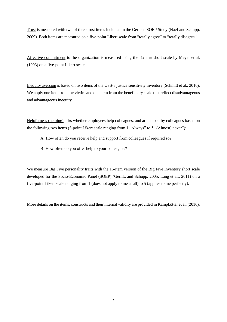Trust is measured with two of three trust items included in the German SOEP Study (Naef and Schupp, 2009). Both items are measured on a five-point Likert scale from "totally agree" to "totally disagree".

Affective commitment to the organization is measured using the six-item short scale by Meyer et al. (1993) on a five-point Likert scale.

Inequity aversion is based on two items of the USS-8 justice sensitivity inventory (Schmitt et al., 2010). We apply one item from the victim and one item from the beneficiary scale that reflect disadvantageous and advantageous inequity.

Helpfulness (helping) asks whether employees help colleagues, and are helped by colleagues based on the following two items (5-point Likert scale ranging from 1 "Always" to 5 "(Almost) never"):

A: How often do you receive help and support from colleagues if required so?

B: How often do you offer help to your colleagues?

We measure **Big Five personality traits** with the 16-item version of the Big Five Inventory short scale developed for the Socio-Economic Panel (SOEP) (Gerlitz and Schupp, 2005; Lang et al., 2011) on a five-point Likert scale ranging from 1 (does not apply to me at all) to 5 (applies to me perfectly).

More details on the items, constructs and their internal validity are provided in Kampkötter et al. (2016).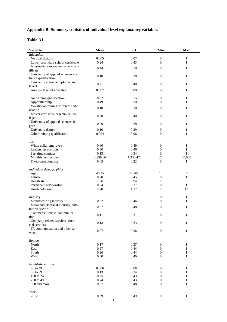# **Appendix B: Summary statistics of individual-level explanatory variables**

# **Table A1**

| <b>Variable</b>                      | Mean     | <b>SD</b> | Min              | <b>Max</b>   |
|--------------------------------------|----------|-----------|------------------|--------------|
| Education                            |          |           |                  |              |
| No qualification                     | 0.005    | 0.07      | $\mathbf{0}$     | $\mathbf{1}$ |
| Lower secondary school certificate   | 0.24     | 0.43      | $\mathbf{0}$     | $\mathbf{1}$ |
| Intermediate secondary school cer-   |          |           |                  |              |
| tificate                             | 0.44     | 0.50      | $\mathbf{0}$     | $\mathbf{1}$ |
| University of applied sciences en-   |          |           |                  |              |
| trance qualification                 | 0.10     | 0.30      | $\mathbf{0}$     | $\mathbf{1}$ |
| University entrance diploma (A-      |          |           |                  |              |
| level)                               | 0.21     | 0.40      | $\boldsymbol{0}$ | $\mathbf{1}$ |
| Another level of education           | 0.007    | 0.08      | $\mathbf{0}$     | $\mathbf{1}$ |
|                                      |          |           |                  |              |
| No training qualification            | 0.02     | 0.15      | $\boldsymbol{0}$ | 1            |
| Apprenticeship                       | 0.49     | 0.50      | $\mathbf{0}$     | $\mathbf{1}$ |
| Vocational training within the ed-   |          |           |                  |              |
| ucation                              | 0.10     | 0.30      | $\mathbf{0}$     | $\mathbf{1}$ |
| Master craftsmen or technical col-   |          |           |                  |              |
| lege                                 | 0.20     | 0.40      | $\boldsymbol{0}$ | $\mathbf{1}$ |
| University of applied sciences de-   |          |           |                  |              |
| gree                                 | 0.09     | 0.28      | $\boldsymbol{0}$ | $\mathbf{1}$ |
| University degree                    | 0.10     | 0.29      | $\boldsymbol{0}$ | 1            |
| Other training qualification         | 0.004    | 0.06      | $\Omega$         | 1            |
|                                      |          |           |                  |              |
| Job                                  |          |           |                  |              |
| White collar employee                | 0.60     | 0.49      | $\boldsymbol{0}$ | $\mathbf{1}$ |
| Leadership position                  | 0.30     | 0.46      | $\boldsymbol{0}$ | $\mathbf{1}$ |
| Part time contract                   | 0.13     | 0.34      | $\mathbf{0}$     | $\mathbf{1}$ |
| Monthly net income                   | 2,239.86 | 1,330.47  | 25               | 60,000       |
| Fixed-term contract                  | 0.05     | 0.22      | $\mathbf{0}$     | 1            |
|                                      |          |           |                  |              |
| Individual demographics              |          |           |                  |              |
| Age                                  | 46.25    | 10.46     | 18               | 69           |
| Female                               | 0.28     | 0.45      | $\mathbf{0}$     | 1            |
| Health status                        | 2.36     | 0.94      | 1                | 5            |
| Permanent relationship               | 0.84     | 0.37      | $\boldsymbol{0}$ | $\mathbf{1}$ |
| Household size                       | 2.78     | 1.22      | $\mathbf{1}$     | 13           |
|                                      |          |           |                  |              |
| Industry                             |          |           | $\boldsymbol{0}$ | $\mathbf{1}$ |
| Manufacturing industry               | 0.32     | 0.46      | $\mathbf{0}$     | 1            |
| Metal and electrical industry, auto- |          |           |                  |              |
| motive sector                        | 0.37     | 0.48      | $\boldsymbol{0}$ | 1            |
| Commerce, traffic, communica-        |          |           |                  |              |
| tion                                 | 0.11     | 0.31      | $\boldsymbol{0}$ | $\mathbf{1}$ |
| Company-related services, finan-     |          |           |                  |              |
| cial services                        | 0.13     | 0.33      | $\boldsymbol{0}$ | $\mathbf{1}$ |
| IT, communication and other ser-     |          |           |                  |              |
| vices                                | $0.07\,$ | 0.26      | $\boldsymbol{0}$ | $\mathbf{1}$ |
|                                      |          |           |                  |              |
| Region                               |          |           |                  |              |
| North                                | 0.17     | 0.37      | $\boldsymbol{0}$ | $\mathbf{1}$ |
| East                                 | 0.27     | 0.44      | $\mathbf{0}$     | 1            |
| South                                | 0.26     | 0.44      | $\boldsymbol{0}$ | $\mathbf{1}$ |
| West                                 | 0.30     | 0.46      | $\boldsymbol{0}$ | 1            |
|                                      |          |           |                  |              |
| Establishment size                   |          |           |                  |              |
| 20 to 49                             | 0.006    | 0.08      | $\boldsymbol{0}$ | $\mathbf{1}$ |
| 50 to 99                             | 0.13     | 0.34      | $\boldsymbol{0}$ | 1            |
| 100 to 249                           | 0.25     | 0.43      | $\boldsymbol{0}$ | 1            |
| 250 to 499                           | 0.24     | 0.43      | $\boldsymbol{0}$ | 1            |
| 500 and more                         | 0.37     | 0.48      | $\boldsymbol{0}$ | $\mathbf{1}$ |
|                                      |          |           |                  |              |
| Year                                 |          |           |                  |              |
| 2012                                 | 0.39     | 0.49      | $\boldsymbol{0}$ | $\mathbf{1}$ |
|                                      |          |           |                  |              |